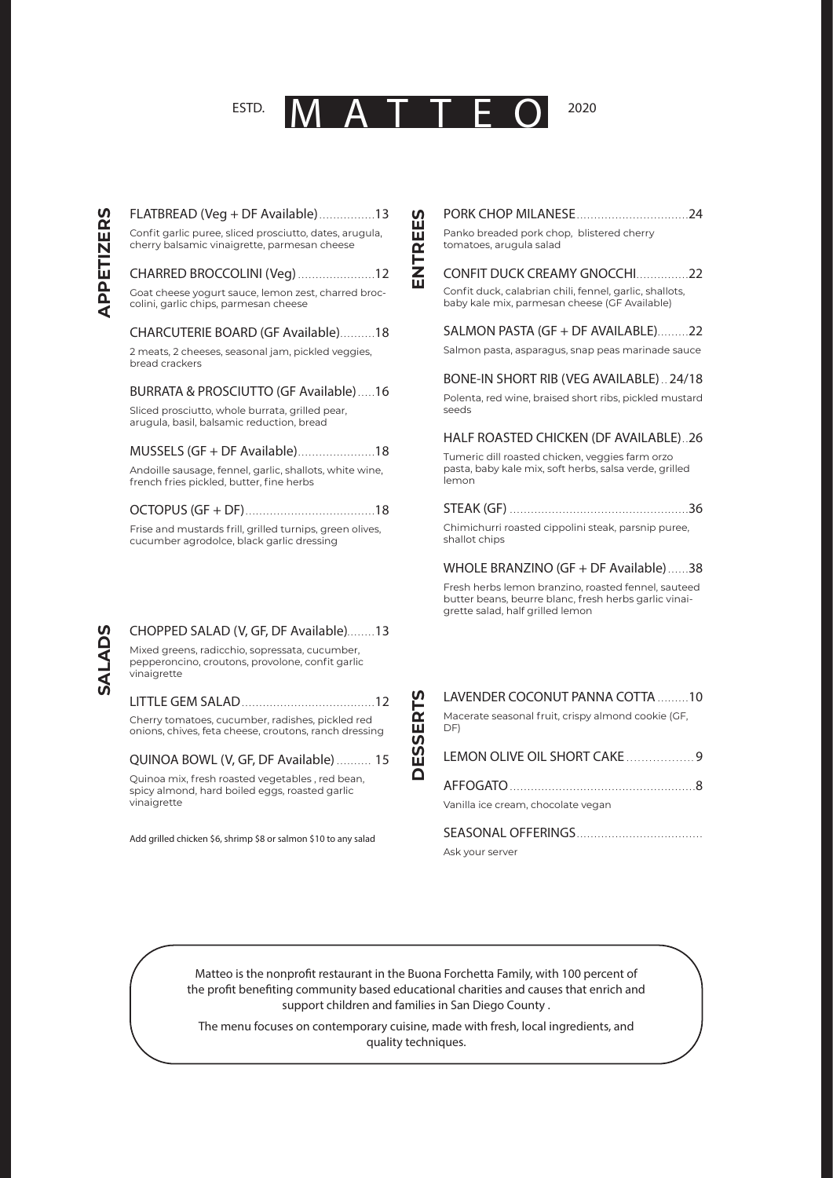### ATTF ESTD.

EES

ENTRI

2020

# Confit garlic puree, sliced prosciutto, dates, arugula, cherry balsamic vinaigrette, parmesan cheese CHARRED BROCCOLINI (Veg).......................12 Goat cheese vogurt sauce, lemon zest, charred broccolini, garlic chips, parmesan cheese CHARCUTERIE BOARD (GF Available)..........18 2 meats, 2 cheeses, seasonal jam, pickled veggies, bread crackers **BURRATA & PROSCIUTTO (GF Available).....16**

FLATBREAD (Veg + DF Available)................13

Sliced prosciutto, whole burrata, grilled pear, arugula, basil, balsamic reduction, bread

## MUSSELS (GF + DF Available).......................18

Andoille sausage, fennel, garlic, shallots, white wine, french fries pickled, butter, fine herbs

Frise and mustards frill, grilled turnips, green olives, cucumber agrodolce, black garlic dressing

**SALADS** 

#### CHOPPED SALAD (V, GF, DF Available)........13 Mixed greens, radicchio, sopressata, cucumber,

pepperoncino, croutons, provolone, confit garlic vinaigrette

Cherry tomatoes, cucumber, radishes, pickled red onions, chives, feta cheese, croutons, ranch dressing

#### QUINOA BOWL (V, GF, DF Available) .......... 15

Ouinoa mix, fresh roasted vegetables, red bean. spicy almond, hard boiled eggs, roasted garlic vinaigrette

Add grilled chicken \$6, shrimp \$8 or salmon \$10 to any salad

# 

Panko breaded pork chop, blistered cherry tomatoes, arugula salad

# CONFIT DUCK CREAMY GNOCCHI...............22

Confit duck, calabrian chili, fennel, garlic, shallots, baby kale mix. parmesan cheese (GF Available)

#### SALMON PASTA (GF + DF AVAILABLE).........22

Salmon pasta, asparagus, snap peas marinade sauce

BONE-IN SHORT RIB (VEG AVAILABLE).. 24/18

#### Polenta, red wine, braised short ribs, pickled mustard spads

HALF ROASTED CHICKEN (DF AVAILABLE)..26

Tumeric dill roasted chicken, veggies farm orzo pasta, baby kale mix, soft herbs, salsa verde, grilled lemon

#### 

Chimichurri roasted cippolini steak, parsnip puree, shallot chips

#### WHOLE BRANZINO (GF + DF Available)......38

Fresh herbs lemon branzino, roasted fennel, sauteed butter beans, beurre blanc, fresh herbs garlic vinaigrette salad, half grilled lemon

# LAVENDER COCONUT PANNA COTTA .........10

Macerate seasonal fruit, crispy almond cookie (GF, DF)

## LEMON OLIVE OIL SHORT CAKE...................9

Vanilla ice cream, chocolate vegan

Ask your server

Matteo is the nonprofit restaurant in the Buona Forchetta Family, with 100 percent of the profit benefiting community based educational charities and causes that enrich and support children and families in San Diego County.

The menu focuses on contemporary cuisine, made with fresh, local ingredients, and quality techniques.

**ESSERT** 

**SV**